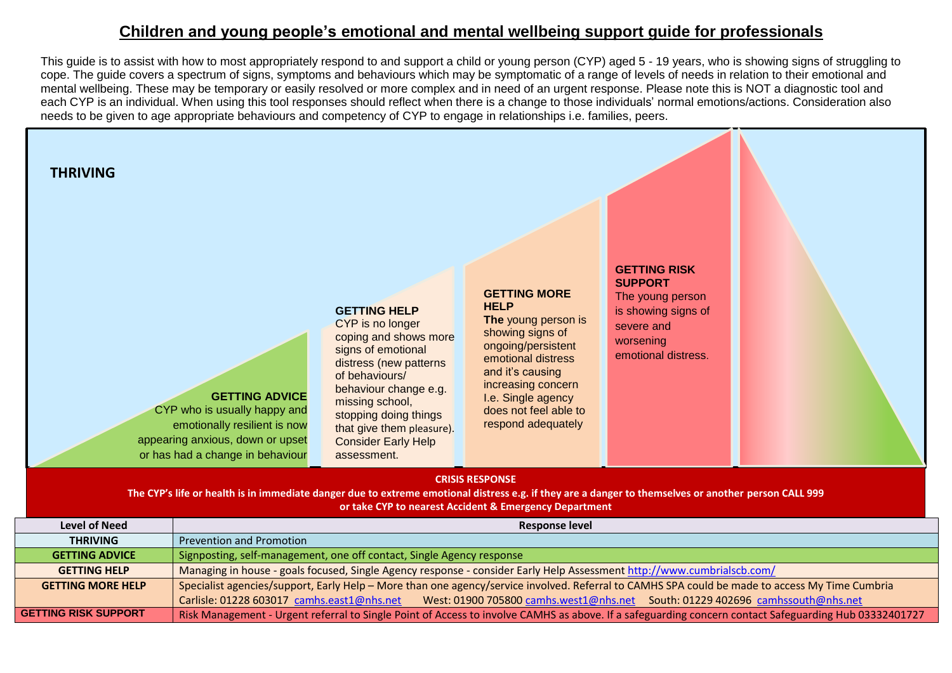## **Children and young people's emotional and mental wellbeing support guide for professionals**

This guide is to assist with how to most appropriately respond to and support a child or young person (CYP) aged 5 - 19 years, who is showing signs of struggling to cope. The guide covers a spectrum of signs, symptoms and behaviours which may be symptomatic of a range of levels of needs in relation to their emotional and mental wellbeing. These may be temporary or easily resolved or more complex and in need of an urgent response. Please note this is NOT a diagnostic tool and each CYP is an individual. When using this tool responses should reflect when there is a change to those individuals' normal emotions/actions. Consideration also needs to be given to age appropriate behaviours and competency of CYP to engage in relationships i.e. families, peers.



| <b>Level of Need</b>        | Response level                                                                                                                                        |  |
|-----------------------------|-------------------------------------------------------------------------------------------------------------------------------------------------------|--|
| <b>THRIVING</b>             | <b>Prevention and Promotion</b>                                                                                                                       |  |
| <b>GETTING ADVICE</b>       | Signposting, self-management, one off contact, Single Agency response                                                                                 |  |
| <b>GETTING HELP</b>         | Managing in house - goals focused, Single Agency response - consider Early Help Assessment http://www.cumbrialscb.com/                                |  |
| <b>GETTING MORE HELP</b>    | Specialist agencies/support, Early Help - More than one agency/service involved. Referral to CAMHS SPA could be made to access My Time Cumbria        |  |
|                             | Carlisle: 01228 603017 camhs.east1@nhs.net<br>West: 01900 705800 camhs.west1@nhs.net South: 01229 402696 camhssouth@nhs.net                           |  |
| <b>GETTING RISK SUPPORT</b> | Risk Management - Urgent referral to Single Point of Access to involve CAMHS as above. If a safeguarding concern contact Safeguarding Hub 03332401727 |  |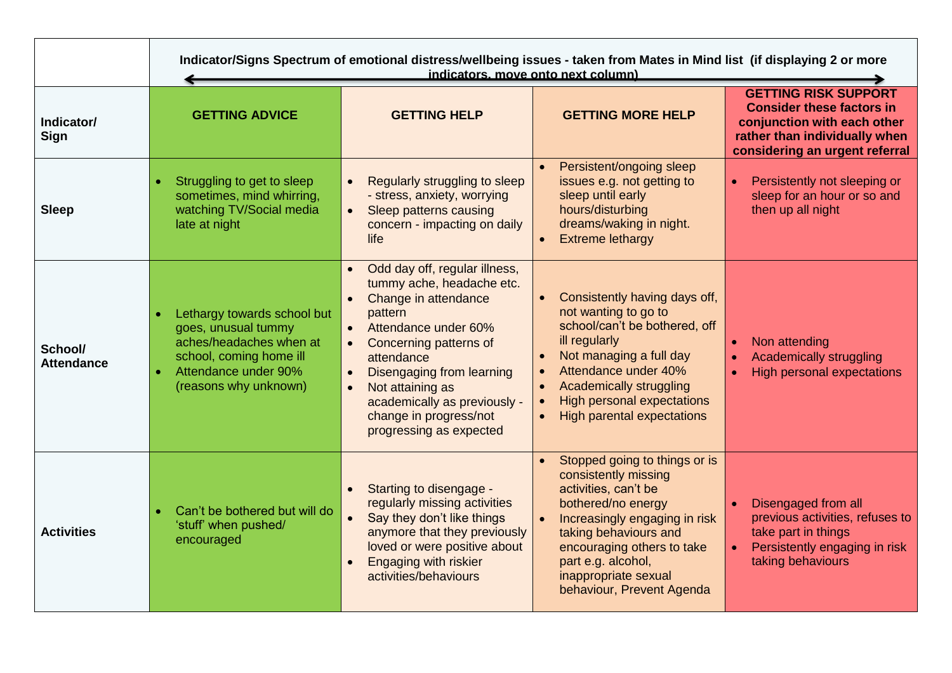|                              | Indicator/Signs Spectrum of emotional distress/wellbeing issues - taken from Mates in Mind list (if displaying 2 or more<br>indicators, move onto next column) |                                                                                                                                                                                                                                                                                                                                            |                                                                                                                                                                                                                                                                        |                                                                                                                                                                   |
|------------------------------|----------------------------------------------------------------------------------------------------------------------------------------------------------------|--------------------------------------------------------------------------------------------------------------------------------------------------------------------------------------------------------------------------------------------------------------------------------------------------------------------------------------------|------------------------------------------------------------------------------------------------------------------------------------------------------------------------------------------------------------------------------------------------------------------------|-------------------------------------------------------------------------------------------------------------------------------------------------------------------|
| Indicator/<br>Sign           | <b>GETTING ADVICE</b>                                                                                                                                          | <b>GETTING HELP</b>                                                                                                                                                                                                                                                                                                                        | <b>GETTING MORE HELP</b>                                                                                                                                                                                                                                               | <b>GETTING RISK SUPPORT</b><br><b>Consider these factors in</b><br>conjunction with each other<br>rather than individually when<br>considering an urgent referral |
| <b>Sleep</b>                 | Struggling to get to sleep<br>sometimes, mind whirring,<br>watching TV/Social media<br>late at night                                                           | Regularly struggling to sleep<br>- stress, anxiety, worrying<br>Sleep patterns causing<br>$\bullet$<br>concern - impacting on daily<br>life                                                                                                                                                                                                | Persistent/ongoing sleep<br>issues e.g. not getting to<br>sleep until early<br>hours/disturbing<br>dreams/waking in night.<br><b>Extreme lethargy</b>                                                                                                                  | Persistently not sleeping or<br>sleep for an hour or so and<br>then up all night                                                                                  |
| School/<br><b>Attendance</b> | Lethargy towards school but<br>goes, unusual tummy<br>aches/headaches when at<br>school, coming home ill<br>Attendance under 90%<br>(reasons why unknown)      | • Odd day off, regular illness,<br>tummy ache, headache etc.<br>• Change in attendance<br>pattern<br>• Attendance under 60%<br>Concerning patterns of<br>attendance<br><b>Disengaging from learning</b><br>$\bullet$<br>Not attaining as<br>$\bullet$<br>academically as previously -<br>change in progress/not<br>progressing as expected | Consistently having days off,<br>not wanting to go to<br>school/can't be bothered, off<br>ill regularly<br>Not managing a full day<br>Attendance under 40%<br>Academically struggling<br><b>High personal expectations</b><br><b>High parental expectations</b>        | Non attending<br><b>Academically struggling</b><br><b>High personal expectations</b>                                                                              |
| <b>Activities</b>            | Can't be bothered but will do<br>'stuff' when pushed/<br>encouraged                                                                                            | Starting to disengage -<br>regularly missing activities<br>Say they don't like things<br>anymore that they previously<br>loved or were positive about<br><b>Engaging with riskier</b><br>activities/behaviours                                                                                                                             | Stopped going to things or is<br>consistently missing<br>activities, can't be<br>bothered/no energy<br>Increasingly engaging in risk<br>taking behaviours and<br>encouraging others to take<br>part e.g. alcohol,<br>inappropriate sexual<br>behaviour, Prevent Agenda | Disengaged from all<br>previous activities, refuses to<br>take part in things<br>Persistently engaging in risk<br>taking behaviours                               |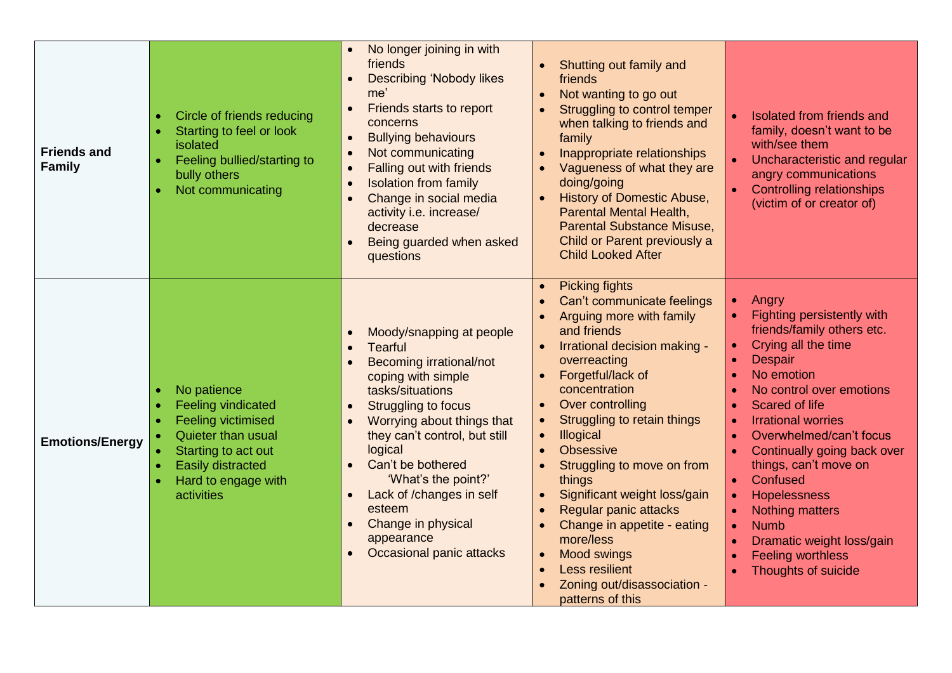| <b>Friends and</b><br><b>Family</b> | Circle of friends reducing<br>Starting to feel or look<br>isolated<br>Feeling bullied/starting to<br>bully others<br>Not communicating                                              | No longer joining in with<br>friends<br><b>Describing 'Nobody likes</b><br>me'<br>Friends starts to report<br>concerns<br><b>Bullying behaviours</b><br>$\bullet$<br>Not communicating<br>$\bullet$<br><b>Falling out with friends</b><br>$\bullet$<br><b>Isolation from family</b><br>Change in social media<br>activity i.e. increase/<br>decrease<br>Being guarded when asked<br>questions | Shutting out family and<br>friends<br>Not wanting to go out<br>Struggling to control temper<br>when talking to friends and<br>family<br>Inappropriate relationships<br>Vagueness of what they are<br>doing/going<br>History of Domestic Abuse,<br><b>Parental Mental Health,</b><br><b>Parental Substance Misuse,</b><br>Child or Parent previously a<br><b>Child Looked After</b>                                                                                                                                                   | Isolated from friends and<br>family, doesn't want to be<br>with/see them<br>Uncharacteristic and regular<br>angry communications<br><b>Controlling relationships</b><br>(victim of or creator of)                                                                                                                                                                                                                                                               |
|-------------------------------------|-------------------------------------------------------------------------------------------------------------------------------------------------------------------------------------|-----------------------------------------------------------------------------------------------------------------------------------------------------------------------------------------------------------------------------------------------------------------------------------------------------------------------------------------------------------------------------------------------|--------------------------------------------------------------------------------------------------------------------------------------------------------------------------------------------------------------------------------------------------------------------------------------------------------------------------------------------------------------------------------------------------------------------------------------------------------------------------------------------------------------------------------------|-----------------------------------------------------------------------------------------------------------------------------------------------------------------------------------------------------------------------------------------------------------------------------------------------------------------------------------------------------------------------------------------------------------------------------------------------------------------|
| <b>Emotions/Energy</b>              | No patience<br><b>Feeling vindicated</b><br><b>Feeling victimised</b><br>Quieter than usual<br>Starting to act out<br><b>Easily distracted</b><br>Hard to engage with<br>activities | Moody/snapping at people<br><b>Tearful</b><br>$\bullet$<br>Becoming irrational/not<br>coping with simple<br>tasks/situations<br>Struggling to focus<br>$\bullet$<br>Worrying about things that<br>they can't control, but still<br>logical<br>Can't be bothered<br>'What's the point?'<br>Lack of /changes in self<br>esteem<br>Change in physical<br>appearance<br>Occasional panic attacks  | <b>Picking fights</b><br>Can't communicate feelings<br>Arguing more with family<br>and friends<br>Irrational decision making -<br>overreacting<br>Forgetful/lack of<br>concentration<br>Over controlling<br>Struggling to retain things<br>Illogical<br>$\bullet$<br><b>Obsessive</b><br>Struggling to move on from<br>things<br>Significant weight loss/gain<br>Regular panic attacks<br>Change in appetite - eating<br>more/less<br><b>Mood swings</b><br><b>Less resilient</b><br>Zoning out/disassociation -<br>patterns of this | Angry<br>$\bullet$<br>Fighting persistently with<br>friends/family others etc.<br>Crying all the time<br><b>Despair</b><br>No emotion<br>No control over emotions<br>Scared of life<br><b>Irrational worries</b><br>Overwhelmed/can't focus<br>Continually going back over<br>things, can't move on<br>Confused<br><b>Hopelessness</b><br><b>Nothing matters</b><br><b>Numb</b><br>Dramatic weight loss/gain<br><b>Feeling worthless</b><br>Thoughts of suicide |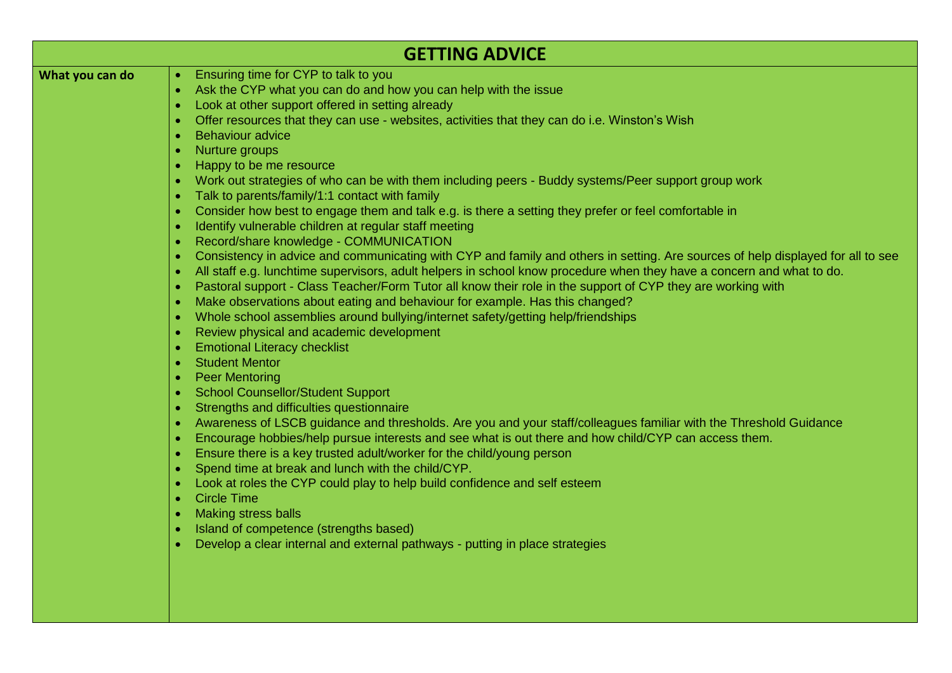|                 | <b>GETTING ADVICE</b>                                                                                                                                                                                                                                                                                                                                                                                                                                                                                                                                                                                                                                                                                                                                                                                                                                                                                                                                                                                                                 |
|-----------------|---------------------------------------------------------------------------------------------------------------------------------------------------------------------------------------------------------------------------------------------------------------------------------------------------------------------------------------------------------------------------------------------------------------------------------------------------------------------------------------------------------------------------------------------------------------------------------------------------------------------------------------------------------------------------------------------------------------------------------------------------------------------------------------------------------------------------------------------------------------------------------------------------------------------------------------------------------------------------------------------------------------------------------------|
| What you can do | Ensuring time for CYP to talk to you<br>$\bullet$<br>Ask the CYP what you can do and how you can help with the issue<br>$\bullet$<br>Look at other support offered in setting already<br>Offer resources that they can use - websites, activities that they can do i.e. Winston's Wish<br><b>Behaviour advice</b><br>Nurture groups<br>Happy to be me resource<br>Work out strategies of who can be with them including peers - Buddy systems/Peer support group work<br>Talk to parents/family/1:1 contact with family<br>Consider how best to engage them and talk e.g. is there a setting they prefer or feel comfortable in<br>Identify vulnerable children at regular staff meeting<br>$\bullet$<br>Record/share knowledge - COMMUNICATION<br>$\bullet$<br>Consistency in advice and communicating with CYP and family and others in setting. Are sources of help displayed for all to see<br>All staff e.g. lunchtime supervisors, adult helpers in school know procedure when they have a concern and what to do.<br>$\bullet$ |
|                 | Pastoral support - Class Teacher/Form Tutor all know their role in the support of CYP they are working with<br>Make observations about eating and behaviour for example. Has this changed?<br>Whole school assemblies around bullying/internet safety/getting help/friendships<br>$\bullet$<br>Review physical and academic development<br>$\bullet$                                                                                                                                                                                                                                                                                                                                                                                                                                                                                                                                                                                                                                                                                  |
|                 | <b>Emotional Literacy checklist</b><br><b>Student Mentor</b><br><b>Peer Mentoring</b><br><b>School Counsellor/Student Support</b>                                                                                                                                                                                                                                                                                                                                                                                                                                                                                                                                                                                                                                                                                                                                                                                                                                                                                                     |
|                 | Strengths and difficulties questionnaire<br>Awareness of LSCB guidance and thresholds. Are you and your staff/colleagues familiar with the Threshold Guidance<br>Encourage hobbies/help pursue interests and see what is out there and how child/CYP can access them.<br>Ensure there is a key trusted adult/worker for the child/young person<br>Spend time at break and lunch with the child/CYP.                                                                                                                                                                                                                                                                                                                                                                                                                                                                                                                                                                                                                                   |
|                 | Look at roles the CYP could play to help build confidence and self esteem<br><b>Circle Time</b><br><b>Making stress balls</b><br>Island of competence (strengths based)<br>Develop a clear internal and external pathways - putting in place strategies                                                                                                                                                                                                                                                                                                                                                                                                                                                                                                                                                                                                                                                                                                                                                                               |
|                 |                                                                                                                                                                                                                                                                                                                                                                                                                                                                                                                                                                                                                                                                                                                                                                                                                                                                                                                                                                                                                                       |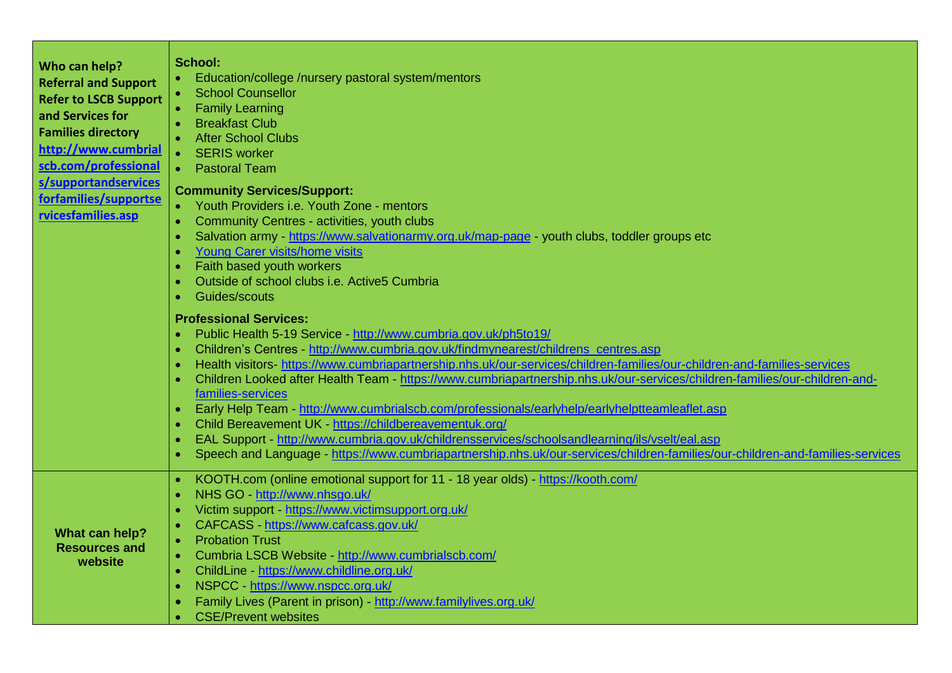| Who can help?<br><b>Referral and Support</b><br><b>Refer to LSCB Support</b><br>and Services for<br><b>Families directory</b><br>http://www.cumbrial<br>scb.com/professional<br>s/supportandservices<br>forfamilies/supportse<br>rvicesfamilies.asp | <b>School:</b><br>Education/college /nursery pastoral system/mentors<br><b>School Counsellor</b><br><b>Family Learning</b><br>$\bullet$<br><b>Breakfast Club</b><br><b>After School Clubs</b><br><b>SERIS</b> worker<br>$\bullet$<br><b>Pastoral Team</b><br>$\bullet$<br><b>Community Services/Support:</b><br>Youth Providers i.e. Youth Zone - mentors<br>$\bullet$<br>Community Centres - activities, youth clubs<br>$\bullet$<br>Salvation army - https://www.salvationarmy.org.uk/map-page - youth clubs, toddler groups etc<br>$\bullet$<br><b>Young Carer visits/home visits</b><br>$\bullet$<br>Faith based youth workers<br>$\bullet$<br>Outside of school clubs i.e. Active5 Cumbria<br>$\bullet$<br>Guides/scouts<br>$\bullet$                                                                                                                                                                                                                      |
|-----------------------------------------------------------------------------------------------------------------------------------------------------------------------------------------------------------------------------------------------------|-----------------------------------------------------------------------------------------------------------------------------------------------------------------------------------------------------------------------------------------------------------------------------------------------------------------------------------------------------------------------------------------------------------------------------------------------------------------------------------------------------------------------------------------------------------------------------------------------------------------------------------------------------------------------------------------------------------------------------------------------------------------------------------------------------------------------------------------------------------------------------------------------------------------------------------------------------------------|
|                                                                                                                                                                                                                                                     | <b>Professional Services:</b><br>Public Health 5-19 Service - http://www.cumbria.gov.uk/ph5to19/<br>$\bullet$<br>Children's Centres - http://www.cumbria.gov.uk/findmynearest/childrens_centres.asp<br>$\bullet$<br>Health visitors- https://www.cumbriapartnership.nhs.uk/our-services/children-families/our-children-and-families-services<br>$\bullet$<br>Children Looked after Health Team - https://www.cumbriapartnership.nhs.uk/our-services/children-families/our-children-and-<br>families-services<br>Early Help Team - http://www.cumbrialscb.com/professionals/earlyhelp/earlyhelptteamleaflet.asp<br>$\bullet$<br>Child Bereavement UK - https://childbereavementuk.org/<br>$\bullet$<br>EAL Support - http://www.cumbria.gov.uk/childrensservices/schoolsandlearning/ils/vselt/eal.asp<br>$\bullet$<br>Speech and Language - https://www.cumbriapartnership.nhs.uk/our-services/children-families/our-children-and-families-services<br>$\bullet$ |
| What can help?<br><b>Resources and</b><br>website                                                                                                                                                                                                   | KOOTH.com (online emotional support for 11 - 18 year olds) - https://kooth.com/<br>$\bullet$<br>NHS GO - http://www.nhsgo.uk/<br>Victim support - https://www.victimsupport.org.uk/<br>CAFCASS - https://www.cafcass.gov.uk/<br><b>Probation Trust</b><br>$\bullet$<br>Cumbria LSCB Website - http://www.cumbrialscb.com/<br>ChildLine - https://www.childline.org.uk/<br>$\bullet$<br>NSPCC - https://www.nspcc.org.uk/<br>$\bullet$<br>Family Lives (Parent in prison) - http://www.familylives.org.uk/<br><b>CSE/Prevent websites</b>                                                                                                                                                                                                                                                                                                                                                                                                                        |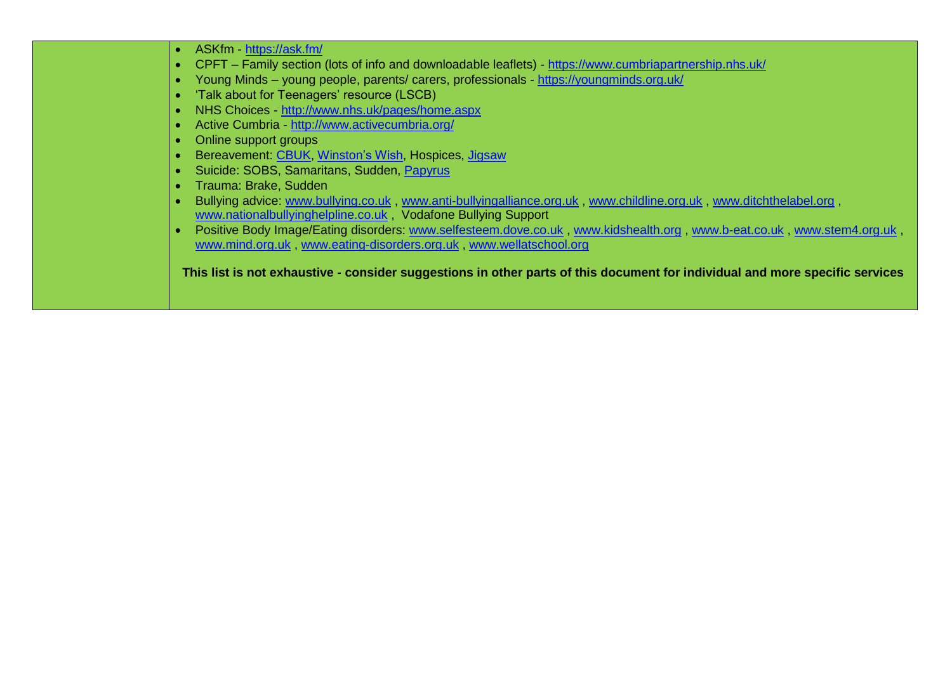| Young Minds - young people, parents/ carers, professionals https://youngminds.org.uk/<br>'Talk about for Teenagers' resource (LSCB)                                                           |
|-----------------------------------------------------------------------------------------------------------------------------------------------------------------------------------------------|
|                                                                                                                                                                                               |
|                                                                                                                                                                                               |
| NHS Choices http://www.nhs.uk/pages/home.aspx                                                                                                                                                 |
| Active Cumbria - http://www.activecumbria.org/                                                                                                                                                |
| Online support groups                                                                                                                                                                         |
| Bereavement: CBUK, Winston's Wish, Hospices, Jigsaw                                                                                                                                           |
| Suicide: SOBS, Samaritans, Sudden, Papyrus                                                                                                                                                    |
| Trauma: Brake, Sudden                                                                                                                                                                         |
| Bullying advice: www.bullying.co.uk, www.anti-bullyingalliance.org.uk, www.childline.org.uk, www.ditchthelabel.org,<br>www.nationalbullyinghelpline.co.uk, Vodafone Bullying Support          |
| Positive Body Image/Eating disorders: www.selfesteem.dove.co.uk, www.kidshealth.org, www.b-eat.co.uk, www.stem4.org.uk,<br>www.mind.org.uk, www.eating-disorders.org.uk, www.wellatschool.org |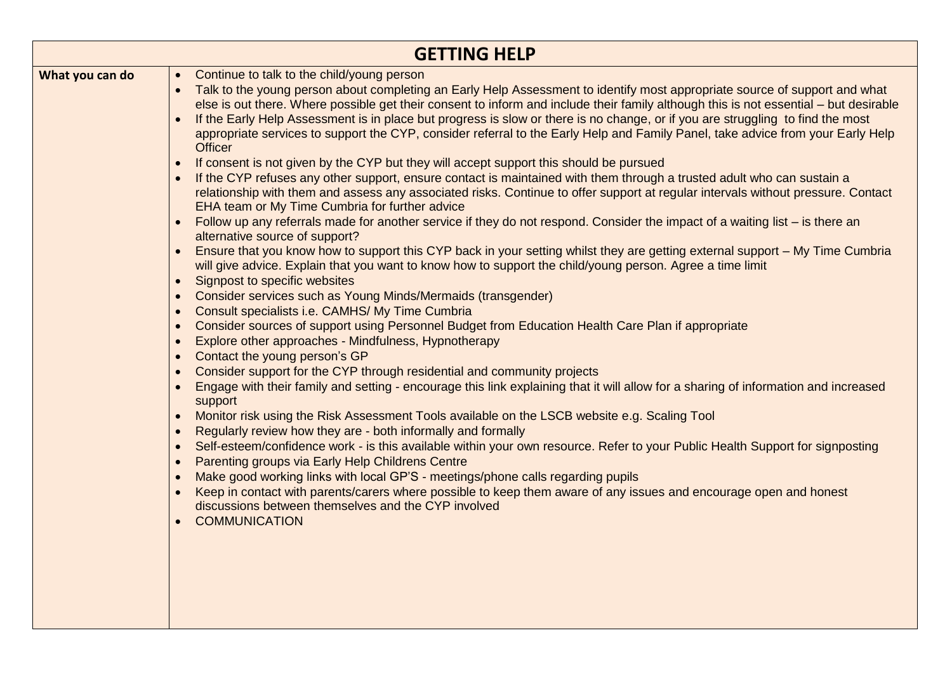|                 | <b>GETTING HELP</b>                                                                                                                                                                                                                                                                                                                                                                                                                                                                                                                                                                                                                                                                                                                                                                                                                                                                                                                                                                                                                                                                                                                                                                                                                                                                                                                                                                                                                                                                                                                                                                                                                                                                                                                                                                                                                                                                                                                                                                                                                                                                                                                                                                                                                                                                                                                                                                                                                                                                                                                                                                                                                                                      |
|-----------------|--------------------------------------------------------------------------------------------------------------------------------------------------------------------------------------------------------------------------------------------------------------------------------------------------------------------------------------------------------------------------------------------------------------------------------------------------------------------------------------------------------------------------------------------------------------------------------------------------------------------------------------------------------------------------------------------------------------------------------------------------------------------------------------------------------------------------------------------------------------------------------------------------------------------------------------------------------------------------------------------------------------------------------------------------------------------------------------------------------------------------------------------------------------------------------------------------------------------------------------------------------------------------------------------------------------------------------------------------------------------------------------------------------------------------------------------------------------------------------------------------------------------------------------------------------------------------------------------------------------------------------------------------------------------------------------------------------------------------------------------------------------------------------------------------------------------------------------------------------------------------------------------------------------------------------------------------------------------------------------------------------------------------------------------------------------------------------------------------------------------------------------------------------------------------------------------------------------------------------------------------------------------------------------------------------------------------------------------------------------------------------------------------------------------------------------------------------------------------------------------------------------------------------------------------------------------------------------------------------------------------------------------------------------------------|
| What you can do | Continue to talk to the child/young person<br>$\bullet$<br>Talk to the young person about completing an Early Help Assessment to identify most appropriate source of support and what<br>else is out there. Where possible get their consent to inform and include their family although this is not essential – but desirable<br>If the Early Help Assessment is in place but progress is slow or there is no change, or if you are struggling to find the most<br>appropriate services to support the CYP, consider referral to the Early Help and Family Panel, take advice from your Early Help<br><b>Officer</b><br>If consent is not given by the CYP but they will accept support this should be pursued<br>If the CYP refuses any other support, ensure contact is maintained with them through a trusted adult who can sustain a<br>relationship with them and assess any associated risks. Continue to offer support at regular intervals without pressure. Contact<br>EHA team or My Time Cumbria for further advice<br>Follow up any referrals made for another service if they do not respond. Consider the impact of a waiting list – is there an<br>alternative source of support?<br>Ensure that you know how to support this CYP back in your setting whilst they are getting external support - My Time Cumbria<br>will give advice. Explain that you want to know how to support the child/young person. Agree a time limit<br>Signpost to specific websites<br>Consider services such as Young Minds/Mermaids (transgender)<br>Consult specialists i.e. CAMHS/My Time Cumbria<br>Consider sources of support using Personnel Budget from Education Health Care Plan if appropriate<br>Explore other approaches - Mindfulness, Hypnotherapy<br>Contact the young person's GP<br>Consider support for the CYP through residential and community projects<br>Engage with their family and setting - encourage this link explaining that it will allow for a sharing of information and increased<br>support<br>Monitor risk using the Risk Assessment Tools available on the LSCB website e.g. Scaling Tool<br>Regularly review how they are - both informally and formally<br>Self-esteem/confidence work - is this available within your own resource. Refer to your Public Health Support for signposting<br>Parenting groups via Early Help Childrens Centre<br>Make good working links with local GP'S - meetings/phone calls regarding pupils<br>Keep in contact with parents/carers where possible to keep them aware of any issues and encourage open and honest<br>discussions between themselves and the CYP involved<br><b>COMMUNICATION</b> |
|                 |                                                                                                                                                                                                                                                                                                                                                                                                                                                                                                                                                                                                                                                                                                                                                                                                                                                                                                                                                                                                                                                                                                                                                                                                                                                                                                                                                                                                                                                                                                                                                                                                                                                                                                                                                                                                                                                                                                                                                                                                                                                                                                                                                                                                                                                                                                                                                                                                                                                                                                                                                                                                                                                                          |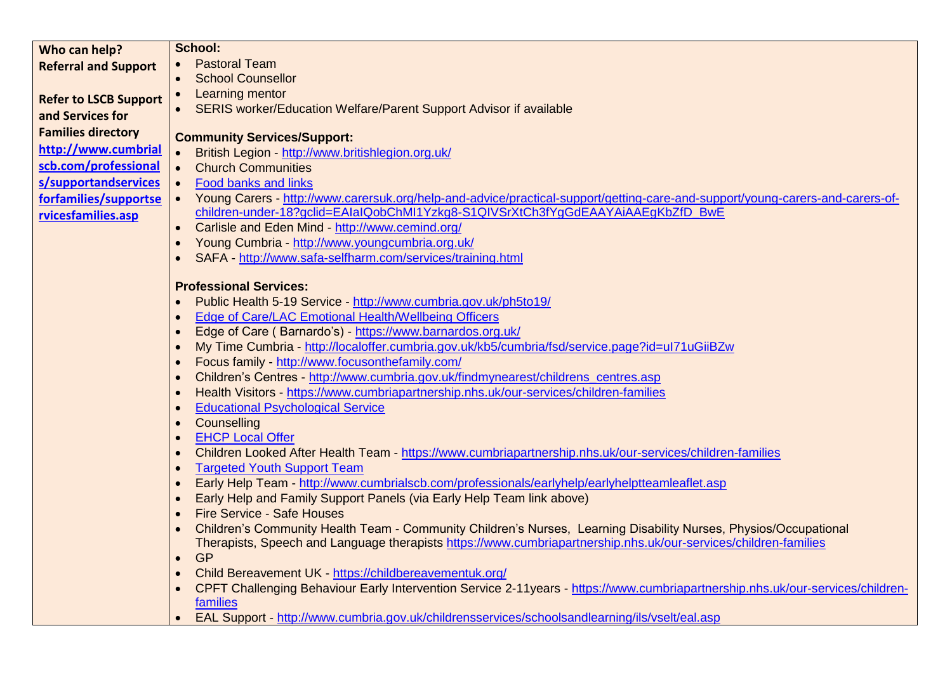| Who can help?                | School:                                                                                                                                                                 |
|------------------------------|-------------------------------------------------------------------------------------------------------------------------------------------------------------------------|
| <b>Referral and Support</b>  | <b>Pastoral Team</b><br>$\bullet$                                                                                                                                       |
|                              | <b>School Counsellor</b><br>$\bullet$                                                                                                                                   |
| <b>Refer to LSCB Support</b> | • Learning mentor                                                                                                                                                       |
| and Services for             | • SERIS worker/Education Welfare/Parent Support Advisor if available                                                                                                    |
| <b>Families directory</b>    | <b>Community Services/Support:</b>                                                                                                                                      |
| http://www.cumbrial          | British Legion - http://www.britishlegion.org.uk/<br>$\bullet$                                                                                                          |
| scb.com/professional         | $\bullet$<br><b>Church Communities</b>                                                                                                                                  |
| s/supportandservices         | <b>Food banks and links</b><br>$\bullet$                                                                                                                                |
| forfamilies/supportse        | Young Carers - http://www.carersuk.org/help-and-advice/practical-support/getting-care-and-support/young-carers-and-carers-of-<br>$\bullet$                              |
| rvicesfamilies.asp           | children-under-18?gclid=EAIaIQobChMI1Yzkg8-S1QIVSrXtCh3fYgGdEAAYAiAAEgKbZfD_BwE                                                                                         |
|                              | Carlisle and Eden Mind - http://www.cemind.org/                                                                                                                         |
|                              | Young Cumbria - http://www.youngcumbria.org.uk/                                                                                                                         |
|                              | SAFA - http://www.safa-selfharm.com/services/training.html                                                                                                              |
|                              | <b>Professional Services:</b>                                                                                                                                           |
|                              | Public Health 5-19 Service - http://www.cumbria.gov.uk/ph5to19/                                                                                                         |
|                              | Edge of Care/LAC Emotional Health/Wellbeing Officers                                                                                                                    |
|                              | Edge of Care (Barnardo's) - https://www.barnardos.org.uk/                                                                                                               |
|                              | My Time Cumbria - http://localoffer.cumbria.gov.uk/kb5/cumbria/fsd/service.page?id=ul71uGiiBZw                                                                          |
|                              | Focus family - http://www.focusonthefamily.com/                                                                                                                         |
|                              | Children's Centres - http://www.cumbria.gov.uk/findmynearest/childrens centres.asp                                                                                      |
|                              | Health Visitors - https://www.cumbriapartnership.nhs.uk/our-services/children-families                                                                                  |
|                              | <b>Educational Psychological Service</b>                                                                                                                                |
|                              | Counselling                                                                                                                                                             |
|                              | <b>EHCP Local Offer</b>                                                                                                                                                 |
|                              | Children Looked After Health Team - https://www.cumbriapartnership.nhs.uk/our-services/children-families                                                                |
|                              | <b>Targeted Youth Support Team</b>                                                                                                                                      |
|                              | Early Help Team - http://www.cumbrialscb.com/professionals/earlyhelp/earlyhelptteamleaflet.asp<br>Early Help and Family Support Panels (via Early Help Team link above) |
|                              | <b>Fire Service - Safe Houses</b>                                                                                                                                       |
|                              | Children's Community Health Team - Community Children's Nurses, Learning Disability Nurses, Physios/Occupational                                                        |
|                              | Therapists, Speech and Language therapists https://www.cumbriapartnership.nhs.uk/our-services/children-families                                                         |
|                              | <b>GP</b><br>$\bullet$                                                                                                                                                  |
|                              | Child Bereavement UK - https://childbereavementuk.org/                                                                                                                  |
|                              | CPFT Challenging Behaviour Early Intervention Service 2-11years - https://www.cumbriapartnership.nhs.uk/our-services/children-                                          |
|                              | families                                                                                                                                                                |
|                              | EAL Support - http://www.cumbria.gov.uk/childrensservices/schoolsandlearning/ils/vselt/eal.asp                                                                          |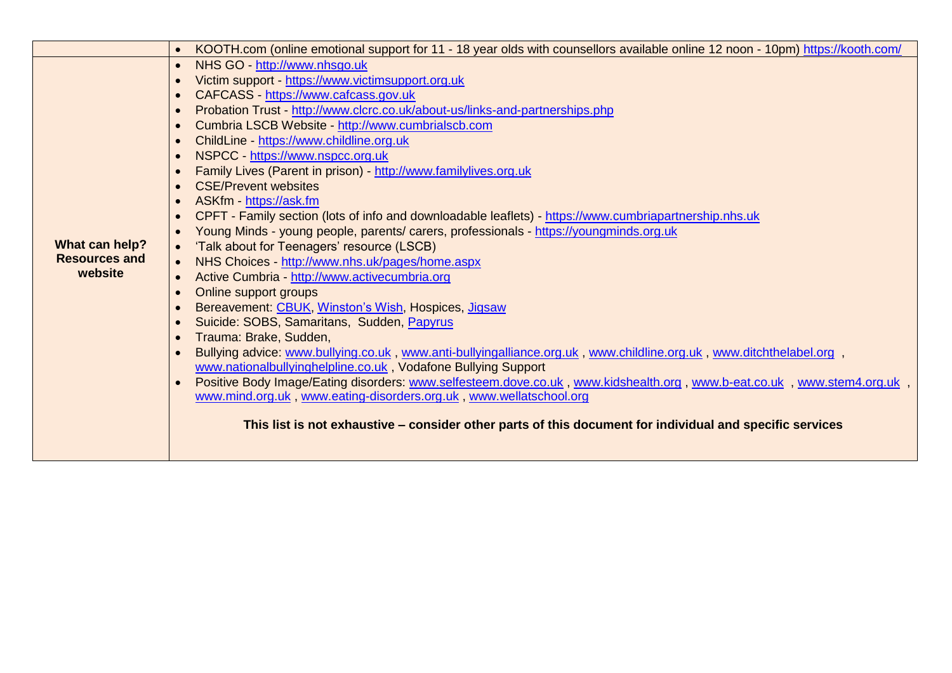|                                        | KOOTH.com (online emotional support for 11 - 18 year olds with counsellors available online 12 noon - 10pm) https://kooth.com/<br>$\bullet$ |
|----------------------------------------|---------------------------------------------------------------------------------------------------------------------------------------------|
|                                        | NHS GO - http://www.nhsgo.uk<br>$\bullet$                                                                                                   |
|                                        | Victim support - https://www.victimsupport.org.uk<br>$\bullet$                                                                              |
|                                        | CAFCASS - https://www.cafcass.gov.uk                                                                                                        |
|                                        | Probation Trust - http://www.clcrc.co.uk/about-us/links-and-partnerships.php                                                                |
|                                        | Cumbria LSCB Website - http://www.cumbrialscb.com                                                                                           |
|                                        | ChildLine - https://www.childline.org.uk<br>$\bullet$                                                                                       |
|                                        | NSPCC - https://www.nspcc.org.uk<br>$\bullet$                                                                                               |
|                                        | Family Lives (Parent in prison) - http://www.familylives.org.uk                                                                             |
|                                        | <b>CSE/Prevent websites</b>                                                                                                                 |
|                                        | ASKfm - https://ask.fm                                                                                                                      |
|                                        | CPFT - Family section (lots of info and downloadable leaflets) - https://www.cumbriapartnership.nhs.uk                                      |
|                                        | Young Minds - young people, parents/ carers, professionals - https://youngminds.org.uk<br>$\bullet$                                         |
| What can help?<br><b>Resources and</b> | 'Talk about for Teenagers' resource (LSCB)<br>$\bullet$                                                                                     |
| website                                | NHS Choices - http://www.nhs.uk/pages/home.aspx<br>$\bullet$                                                                                |
|                                        | Active Cumbria - http://www.activecumbria.org<br>$\bullet$                                                                                  |
|                                        | Online support groups<br>$\bullet$                                                                                                          |
|                                        | Bereavement: CBUK, Winston's Wish, Hospices, Jigsaw<br>$\bullet$<br>Suicide: SOBS, Samaritans, Sudden, Papyrus                              |
|                                        | Trauma: Brake, Sudden,                                                                                                                      |
|                                        | Bullying advice: www.bullying.co.uk, www.anti-bullyingalliance.org.uk, www.childline.org.uk, www.ditchthelabel.org,<br>$\bullet$            |
|                                        | www.nationalbullyinghelpline.co.uk, Vodafone Bullying Support                                                                               |
|                                        | Positive Body Image/Eating disorders: www.selfesteem.dove.co.uk, www.kidshealth.org, www.b-eat.co.uk, www.stem4.org.uk,                     |
|                                        | www.mind.org.uk, www.eating-disorders.org.uk, www.wellatschool.org                                                                          |
|                                        |                                                                                                                                             |
|                                        | This list is not exhaustive – consider other parts of this document for individual and specific services                                    |
|                                        |                                                                                                                                             |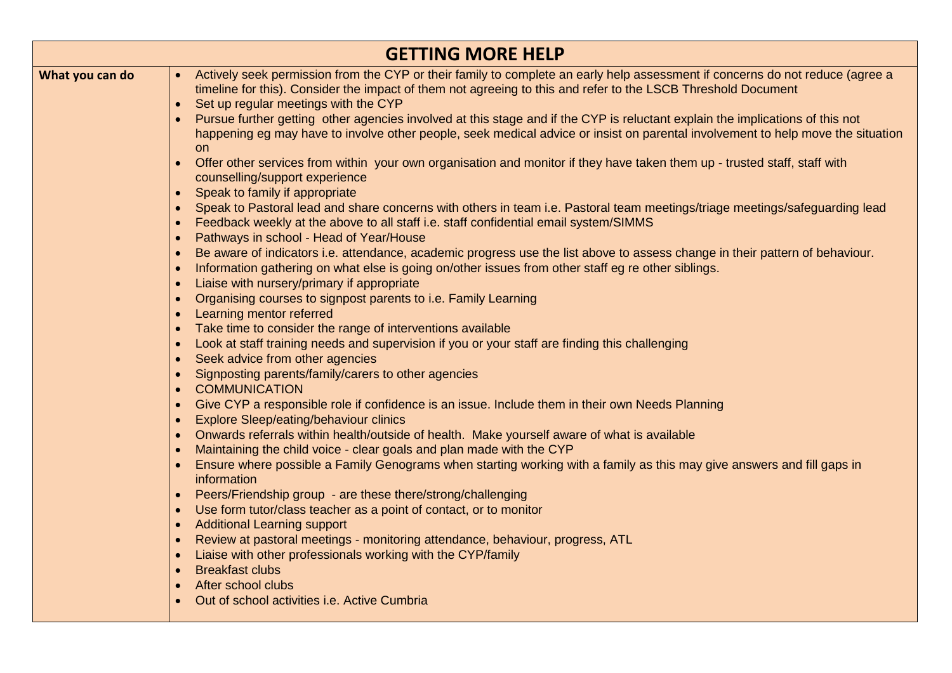| <b>GETTING MORE HELP</b> |                                                                                                                                                                                                                                                                                                                  |  |
|--------------------------|------------------------------------------------------------------------------------------------------------------------------------------------------------------------------------------------------------------------------------------------------------------------------------------------------------------|--|
| What you can do          | Actively seek permission from the CYP or their family to complete an early help assessment if concerns do not reduce (agree a<br>$\bullet$<br>timeline for this). Consider the impact of them not agreeing to this and refer to the LSCB Threshold Document<br>Set up regular meetings with the CYP<br>$\bullet$ |  |
|                          | • Pursue further getting other agencies involved at this stage and if the CYP is reluctant explain the implications of this not<br>happening eg may have to involve other people, seek medical advice or insist on parental involvement to help move the situation<br>on                                         |  |
|                          | Offer other services from within your own organisation and monitor if they have taken them up - trusted staff, staff with<br>$\bullet$<br>counselling/support experience                                                                                                                                         |  |
|                          | Speak to family if appropriate<br>Speak to Pastoral lead and share concerns with others in team i.e. Pastoral team meetings/triage meetings/safeguarding lead<br>Feedback weekly at the above to all staff i.e. staff confidential email system/SIMMS                                                            |  |
|                          | Pathways in school - Head of Year/House<br>$\bullet$<br>Be aware of indicators i.e. attendance, academic progress use the list above to assess change in their pattern of behaviour.<br>Information gathering on what else is going on/other issues from other staff eg re other siblings.                       |  |
|                          | Liaise with nursery/primary if appropriate<br>$\bullet$<br>Organising courses to signpost parents to i.e. Family Learning<br>$\bullet$                                                                                                                                                                           |  |
|                          | Learning mentor referred<br>Take time to consider the range of interventions available<br>Look at staff training needs and supervision if you or your staff are finding this challenging                                                                                                                         |  |
|                          | Seek advice from other agencies<br>$\bullet$<br>Signposting parents/family/carers to other agencies<br>$\bullet$                                                                                                                                                                                                 |  |
|                          | <b>COMMUNICATION</b><br>$\bullet$<br>Give CYP a responsible role if confidence is an issue. Include them in their own Needs Planning<br>$\bullet$<br><b>Explore Sleep/eating/behaviour clinics</b><br>$\bullet$                                                                                                  |  |
|                          | Onwards referrals within health/outside of health. Make yourself aware of what is available<br>Maintaining the child voice - clear goals and plan made with the CYP                                                                                                                                              |  |
|                          | Ensure where possible a Family Genograms when starting working with a family as this may give answers and fill gaps in<br>information<br>• Peers/Friendship group - are these there/strong/challenging                                                                                                           |  |
|                          | Use form tutor/class teacher as a point of contact, or to monitor<br>$\bullet$<br><b>Additional Learning support</b><br>$\bullet$<br>Review at pastoral meetings - monitoring attendance, behaviour, progress, ATL<br>$\bullet$                                                                                  |  |
|                          | Liaise with other professionals working with the CYP/family<br><b>Breakfast clubs</b>                                                                                                                                                                                                                            |  |
|                          | After school clubs<br>$\bullet$<br>Out of school activities <i>i.e.</i> Active Cumbria                                                                                                                                                                                                                           |  |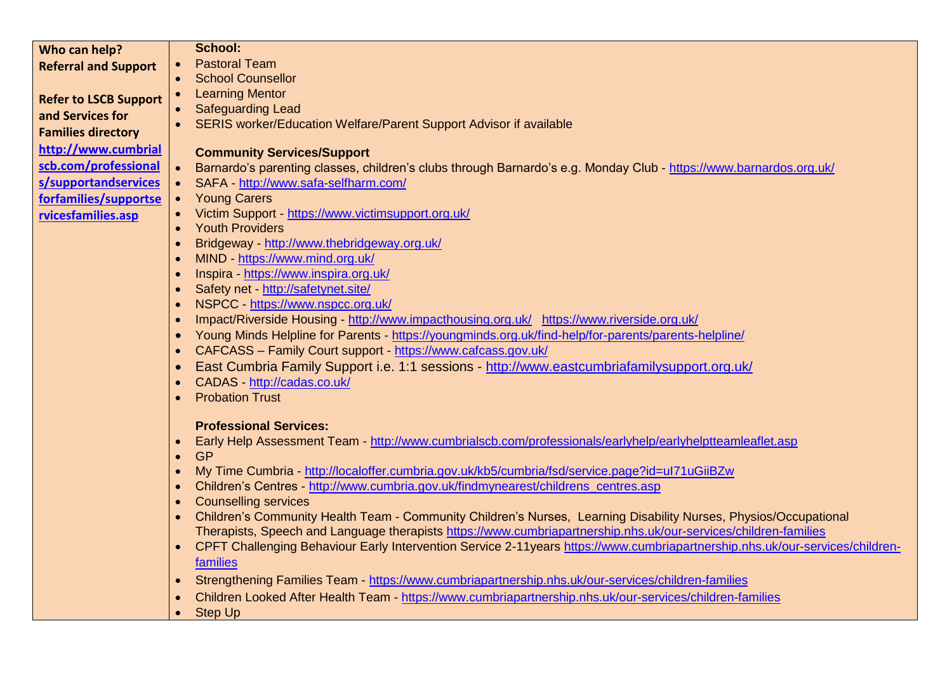| Who can help?                | <b>School:</b>                                                                                                                            |
|------------------------------|-------------------------------------------------------------------------------------------------------------------------------------------|
| <b>Referral and Support</b>  | <b>Pastoral Team</b>                                                                                                                      |
|                              | <b>School Counsellor</b><br>$\bullet$                                                                                                     |
| <b>Refer to LSCB Support</b> | • Learning Mentor                                                                                                                         |
| and Services for             | • Safeguarding Lead                                                                                                                       |
| <b>Families directory</b>    | SERIS worker/Education Welfare/Parent Support Advisor if available                                                                        |
|                              |                                                                                                                                           |
| http://www.cumbrial          | <b>Community Services/Support</b>                                                                                                         |
| scb.com/professional         | Barnardo's parenting classes, children's clubs through Barnardo's e.g. Monday Club - https://www.barnardos.org.uk/<br>$\bullet$           |
| s/supportandservices         | SAFA - http://www.safa-selfharm.com/                                                                                                      |
| forfamilies/supportse        | <b>Young Carers</b><br>$\bullet$                                                                                                          |
| rvicesfamilies.asp           | • Victim Support - https://www.victimsupport.org.uk/                                                                                      |
|                              | <b>Youth Providers</b>                                                                                                                    |
|                              | Bridgeway - http://www.thebridgeway.org.uk/                                                                                               |
|                              | MIND - https://www.mind.org.uk/                                                                                                           |
|                              | Inspira - https://www.inspira.org.uk/                                                                                                     |
|                              | Safety net http://safetynet.site/                                                                                                         |
|                              | NSPCC - https://www.nspcc.org.uk/                                                                                                         |
|                              | Impact/Riverside Housing - http://www.impacthousing.org.uk/ https://www.riverside.org.uk/                                                 |
|                              | Young Minds Helpline for Parents - https://youngminds.org.uk/find-help/for-parents/parents-helpline/<br>$\bullet$                         |
|                              | CAFCASS - Family Court support - https://www.cafcass.gov.uk/                                                                              |
|                              | East Cumbria Family Support i.e. 1:1 sessions - http://www.eastcumbriafamilysupport.org.uk/                                               |
|                              | CADAS - http://cadas.co.uk/                                                                                                               |
|                              | <b>Probation Trust</b>                                                                                                                    |
|                              |                                                                                                                                           |
|                              | <b>Professional Services:</b>                                                                                                             |
|                              | Early Help Assessment Team - http://www.cumbrialscb.com/professionals/earlyhelp/earlyhelptteamleaflet.asp<br>$\bullet$                    |
|                              | <b>GP</b><br>$\bullet$                                                                                                                    |
|                              | My Time Cumbria - http://localoffer.cumbria.gov.uk/kb5/cumbria/fsd/service.page?id=ul71uGiiBZw<br>$\bullet$                               |
|                              | Children's Centres - http://www.cumbria.gov.uk/findmynearest/childrens_centres.asp                                                        |
|                              | <b>Counselling services</b>                                                                                                               |
|                              | Children's Community Health Team - Community Children's Nurses, Learning Disability Nurses, Physios/Occupational                          |
|                              | Therapists, Speech and Language therapists https://www.cumbriapartnership.nhs.uk/our-services/children-families                           |
|                              | CPFT Challenging Behaviour Early Intervention Service 2-11years https://www.cumbriapartnership.nhs.uk/our-services/children-<br>$\bullet$ |
|                              | families                                                                                                                                  |
|                              | Strengthening Families Team - https://www.cumbriapartnership.nhs.uk/our-services/children-families<br>$\bullet$                           |
|                              | Children Looked After Health Team - https://www.cumbriapartnership.nhs.uk/our-services/children-families                                  |
|                              | <b>Step Up</b><br>$\bullet$                                                                                                               |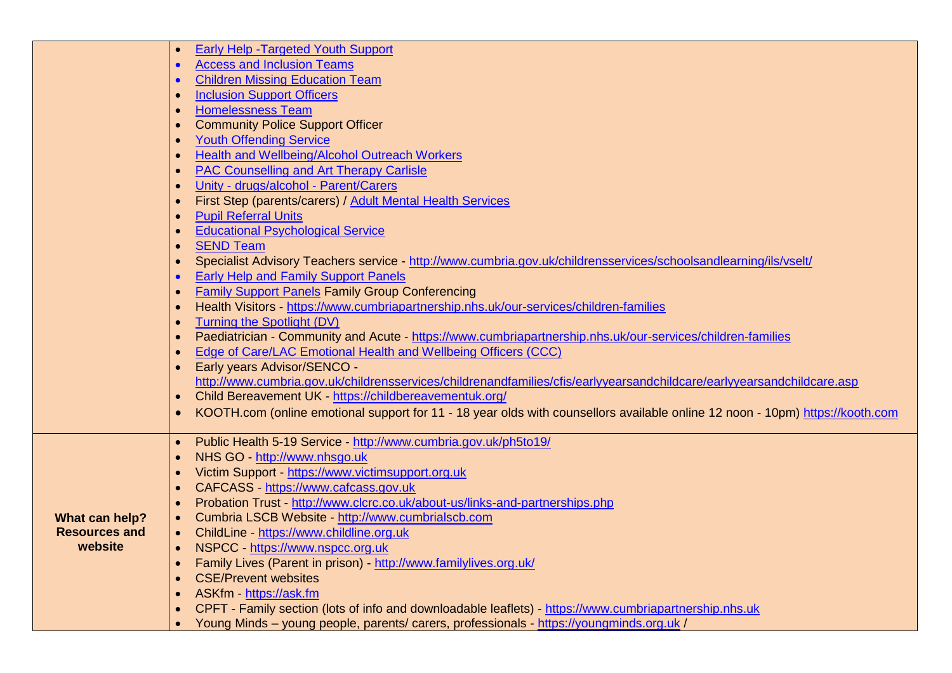|                      | <b>Early Help - Targeted Youth Support</b>                                                                                    |
|----------------------|-------------------------------------------------------------------------------------------------------------------------------|
|                      | <b>Access and Inclusion Teams</b>                                                                                             |
|                      | <b>Children Missing Education Team</b>                                                                                        |
|                      | <b>Inclusion Support Officers</b>                                                                                             |
|                      | <b>Homelessness Team</b>                                                                                                      |
|                      | <b>Community Police Support Officer</b>                                                                                       |
|                      | <b>Youth Offending Service</b>                                                                                                |
|                      | <b>Health and Wellbeing/Alcohol Outreach Workers</b>                                                                          |
|                      | <b>PAC Counselling and Art Therapy Carlisle</b>                                                                               |
|                      | Unity - drugs/alcohol - Parent/Carers                                                                                         |
|                      | First Step (parents/carers) / Adult Mental Health Services                                                                    |
|                      | <b>Pupil Referral Units</b>                                                                                                   |
|                      | <b>Educational Psychological Service</b>                                                                                      |
|                      | <b>SEND Team</b>                                                                                                              |
|                      | Specialist Advisory Teachers service - http://www.cumbria.gov.uk/childrensservices/schoolsandlearning/ils/vselt/              |
|                      | <b>Early Help and Family Support Panels</b>                                                                                   |
|                      | <b>Family Support Panels Family Group Conferencing</b>                                                                        |
|                      | Health Visitors - https://www.cumbriapartnership.nhs.uk/our-services/children-families                                        |
|                      | Turning the Spotlight (DV)                                                                                                    |
|                      | Paediatrician - Community and Acute - https://www.cumbriapartnership.nhs.uk/our-services/children-families                    |
|                      | Edge of Care/LAC Emotional Health and Wellbeing Officers (CCC)                                                                |
|                      | Early years Advisor/SENCO -                                                                                                   |
|                      | http://www.cumbria.gov.uk/childrensservices/childrenandfamilies/cfis/earlyyearsandchildcare/earlyyearsandchildcare.asp        |
|                      | Child Bereavement UK - https://childbereavementuk.org/                                                                        |
|                      | KOOTH.com (online emotional support for 11 - 18 year olds with counsellors available online 12 noon - 10pm) https://kooth.com |
|                      |                                                                                                                               |
|                      | • Public Health 5-19 Service - http://www.cumbria.gov.uk/ph5to19/<br>NHS GO - http://www.nhsgo.uk                             |
|                      | Victim Support - https://www.victimsupport.org.uk                                                                             |
|                      | CAFCASS - https://www.cafcass.gov.uk                                                                                          |
|                      | Probation Trust - http://www.clcrc.co.uk/about-us/links-and-partnerships.php                                                  |
| What can help?       | Cumbria LSCB Website - http://www.cumbrialscb.com                                                                             |
| <b>Resources and</b> | ChildLine - https://www.childline.org.uk                                                                                      |
| website              | NSPCC - https://www.nspcc.org.uk                                                                                              |
|                      | Family Lives (Parent in prison) - http://www.familylives.org.uk/                                                              |
|                      | <b>CSE/Prevent websites</b>                                                                                                   |
|                      | ASKfm - https://ask.fm                                                                                                        |
|                      | CPFT - Family section (lots of info and downloadable leaflets) - https://www.cumbriapartnership.nhs.uk                        |
|                      | Young Minds – young people, parents/ carers, professionals - https://youngminds.org.uk/                                       |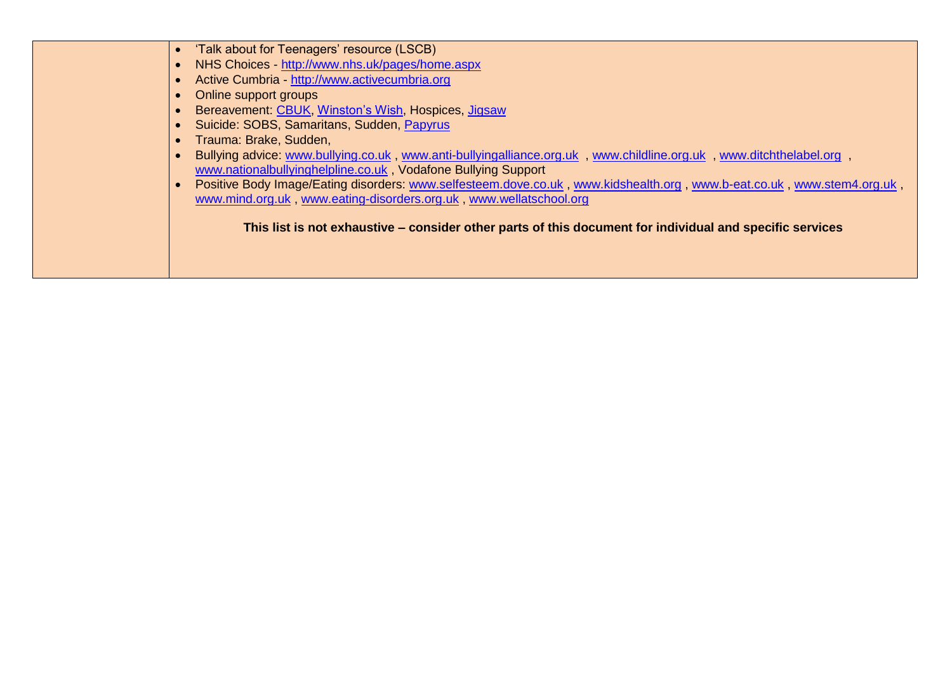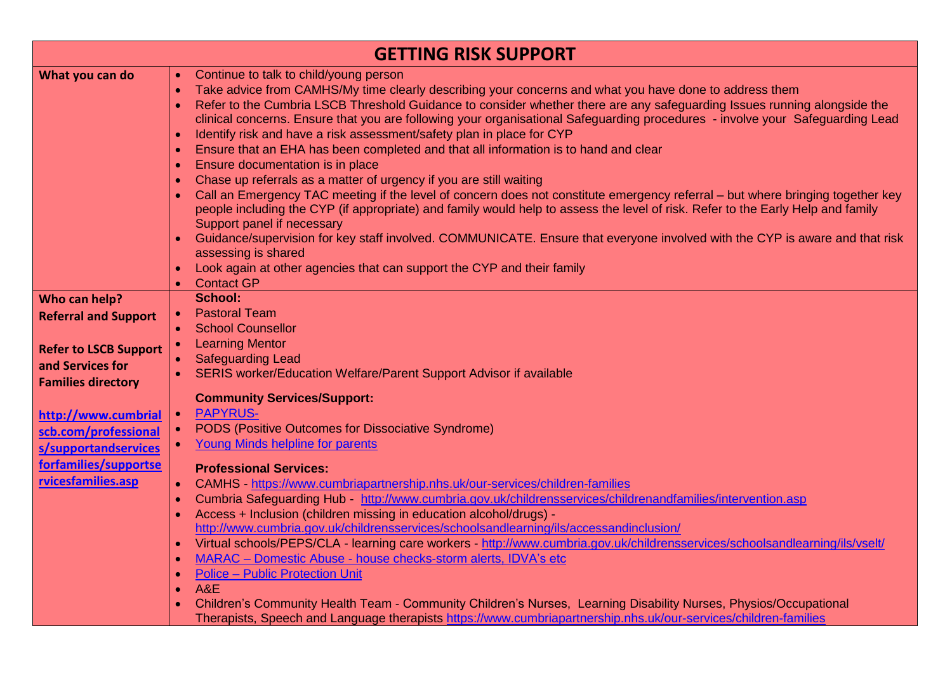| <b>GETTING RISK SUPPORT</b>                                         |                                                                                                                                                                                                                                                                                                                                                                                                                                                                                                                                                                                                                                                                                                                                                                                                                                                                                                                                                                                                                                                                                                                                                                                                                                                                                                                                                 |  |
|---------------------------------------------------------------------|-------------------------------------------------------------------------------------------------------------------------------------------------------------------------------------------------------------------------------------------------------------------------------------------------------------------------------------------------------------------------------------------------------------------------------------------------------------------------------------------------------------------------------------------------------------------------------------------------------------------------------------------------------------------------------------------------------------------------------------------------------------------------------------------------------------------------------------------------------------------------------------------------------------------------------------------------------------------------------------------------------------------------------------------------------------------------------------------------------------------------------------------------------------------------------------------------------------------------------------------------------------------------------------------------------------------------------------------------|--|
| What you can do                                                     | Continue to talk to child/young person<br>$\bullet$<br>Take advice from CAMHS/My time clearly describing your concerns and what you have done to address them<br>$\bullet$<br>Refer to the Cumbria LSCB Threshold Guidance to consider whether there are any safeguarding Issues running alongside the<br>$\bullet$<br>clinical concerns. Ensure that you are following your organisational Safeguarding procedures - involve your Safeguarding Lead<br>Identify risk and have a risk assessment/safety plan in place for CYP<br>$\bullet$<br>Ensure that an EHA has been completed and that all information is to hand and clear<br>$\bullet$<br>Ensure documentation is in place<br>$\bullet$<br>Chase up referrals as a matter of urgency if you are still waiting<br>$\bullet$<br>Call an Emergency TAC meeting if the level of concern does not constitute emergency referral - but where bringing together key<br>$\bullet$<br>people including the CYP (if appropriate) and family would help to assess the level of risk. Refer to the Early Help and family<br>Support panel if necessary<br>Guidance/supervision for key staff involved. COMMUNICATE. Ensure that everyone involved with the CYP is aware and that risk<br>assessing is shared<br>Look again at other agencies that can support the CYP and their family<br>$\bullet$ |  |
| Who can help?                                                       | <b>Contact GP</b><br>$\bullet$<br><b>School:</b>                                                                                                                                                                                                                                                                                                                                                                                                                                                                                                                                                                                                                                                                                                                                                                                                                                                                                                                                                                                                                                                                                                                                                                                                                                                                                                |  |
| <b>Referral and Support</b><br><b>Refer to LSCB Support</b>         | <b>Pastoral Team</b><br>$\bullet$<br><b>School Counsellor</b><br>$\bullet$<br><b>Learning Mentor</b><br>$\bullet$<br><b>Safeguarding Lead</b>                                                                                                                                                                                                                                                                                                                                                                                                                                                                                                                                                                                                                                                                                                                                                                                                                                                                                                                                                                                                                                                                                                                                                                                                   |  |
| and Services for<br><b>Families directory</b>                       | SERIS worker/Education Welfare/Parent Support Advisor if available<br>$\bullet$                                                                                                                                                                                                                                                                                                                                                                                                                                                                                                                                                                                                                                                                                                                                                                                                                                                                                                                                                                                                                                                                                                                                                                                                                                                                 |  |
| http://www.cumbrial<br>scb.com/professional<br>s/supportandservices | <b>Community Services/Support:</b><br><b>PAPYRUS-</b><br>$\bullet$<br>PODS (Positive Outcomes for Dissociative Syndrome)<br>$\bullet$<br><b>Young Minds helpline for parents</b><br>$\bullet$                                                                                                                                                                                                                                                                                                                                                                                                                                                                                                                                                                                                                                                                                                                                                                                                                                                                                                                                                                                                                                                                                                                                                   |  |
| forfamilies/supportse<br>rvicesfamilies.asp                         | <b>Professional Services:</b><br>CAMHS https://www.cumbriapartnership.nhs.uk/our-services/children-families<br>$\bullet$<br>Cumbria Safeguarding Hub - http://www.cumbria.gov.uk/childrensservices/childrenandfamilies/intervention.asp<br>$\bullet$<br>Access + Inclusion (children missing in education alcohol/drugs) -<br>$\bullet$<br>http://www.cumbria.gov.uk/childrensservices/schoolsandlearning/ils/accessandinclusion/<br>Virtual schools/PEPS/CLA - learning care workers - http://www.cumbria.gov.uk/childrensservices/schoolsandlearning/ils/vselt/<br>$\bullet$<br>MARAC - Domestic Abuse - house checks-storm alerts, IDVA's etc<br>$\bullet$<br><b>Police - Public Protection Unit</b><br>$\bullet$<br>A&E<br>$\bullet$<br>Children's Community Health Team - Community Children's Nurses, Learning Disability Nurses, Physios/Occupational<br>Therapists, Speech and Language therapists https://www.cumbriapartnership.nhs.uk/our-services/children-families                                                                                                                                                                                                                                                                                                                                                                 |  |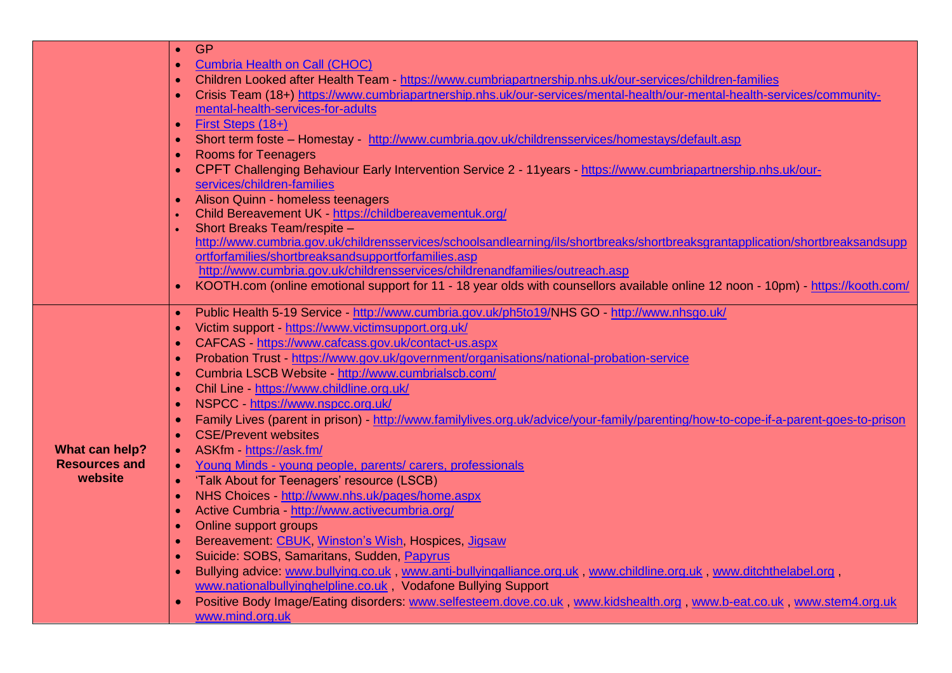|                                                   | GP.<br>$\bullet$                                                                                                                    |
|---------------------------------------------------|-------------------------------------------------------------------------------------------------------------------------------------|
|                                                   | <b>Cumbria Health on Call (CHOC)</b>                                                                                                |
|                                                   | Children Looked after Health Team - https://www.cumbriapartnership.nhs.uk/our-services/children-families                            |
|                                                   | Crisis Team (18+) https://www.cumbriapartnership.nhs.uk/our-services/mental-health/our-mental-health-services/community-            |
|                                                   | mental-health-services-for-adults                                                                                                   |
|                                                   | First Steps (18+)<br>$\bullet$                                                                                                      |
|                                                   | Short term foste - Homestay - http://www.cumbria.gov.uk/childrensservices/homestays/default.asp<br>$\bullet$                        |
|                                                   | <b>Rooms for Teenagers</b><br>$\bullet$                                                                                             |
|                                                   | CPFT Challenging Behaviour Early Intervention Service 2 - 11years - https://www.cumbriapartnership.nhs.uk/our-                      |
|                                                   | services/children-families                                                                                                          |
|                                                   | Alison Quinn - homeless teenagers<br>$\bullet$                                                                                      |
|                                                   | Child Bereavement UK - https://childbereavementuk.org/                                                                              |
|                                                   | Short Breaks Team/respite -                                                                                                         |
|                                                   | http://www.cumbria.gov.uk/childrensservices/schoolsandlearning/ils/shortbreaks/shortbreaksgrantapplication/shortbreaksandsupp       |
|                                                   | ortforfamilies/shortbreaksandsupportforfamilies.asp                                                                                 |
|                                                   | http://www.cumbria.gov.uk/childrensservices/childrenandfamilies/outreach.asp                                                        |
|                                                   | KOOTH.com (online emotional support for 11 - 18 year olds with counsellors available online 12 noon - 10pm) - https://kooth.com/    |
|                                                   | Public Health 5-19 Service - http://www.cumbria.gov.uk/ph5to19/NHS GO - http://www.nhsgo.uk/                                        |
| What can help?<br><b>Resources and</b><br>website | Victim support - https://www.victimsupport.org.uk/                                                                                  |
|                                                   | CAFCAS - https://www.cafcass.gov.uk/contact-us.aspx                                                                                 |
|                                                   | Probation Trust - https://www.gov.uk/government/organisations/national-probation-service<br>$\bullet$                               |
|                                                   | Cumbria LSCB Website - http://www.cumbrialscb.com/                                                                                  |
|                                                   | Chil Line - https://www.childline.org.uk/                                                                                           |
|                                                   | NSPCC - https://www.nspcc.org.uk/                                                                                                   |
|                                                   | Family Lives (parent in prison) - http://www.familylives.org.uk/advice/your-family/parenting/how-to-cope-if-a-parent-goes-to-prison |
|                                                   | <b>CSE/Prevent websites</b>                                                                                                         |
|                                                   | ASKfm - https://ask.fm/<br>$\bullet$                                                                                                |
|                                                   | Young Minds - young people, parents/ carers, professionals<br>$\bullet$                                                             |
|                                                   | 'Talk About for Teenagers' resource (LSCB)<br>$\bullet$                                                                             |
|                                                   | NHS Choices http://www.nhs.uk/pages/home.aspx                                                                                       |
|                                                   | Active Cumbria - http://www.activecumbria.org/                                                                                      |
|                                                   | Online support groups<br>$\bullet$                                                                                                  |
|                                                   | Bereavement: CBUK, Winston's Wish, Hospices, Jigsaw<br>$\bullet$                                                                    |
|                                                   | Suicide: SOBS, Samaritans, Sudden, Papyrus                                                                                          |
|                                                   | Bullying advice: www.bullying.co.uk, www.anti-bullyingalliance.org.uk, www.childline.org.uk, www.ditchthelabel.org,<br>$\bullet$    |
|                                                   | www.nationalbullyinghelpline.co.uk, Vodafone Bullying Support                                                                       |
|                                                   | Positive Body Image/Eating disorders: www.selfesteem.dove.co.uk, www.kidshealth.org, www.b-eat.co.uk, www.stem4.org.uk              |
|                                                   | www.mind.org.uk                                                                                                                     |